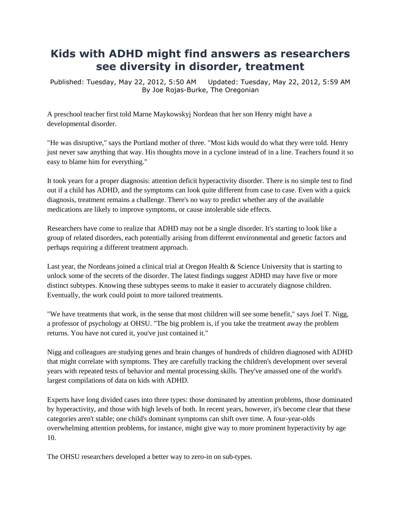## **Kids with ADHD might find answers as researchers see diversity in disorder, treatment**

Published: Tuesday, May 22, 2012, 5:50 AM Updated: Tuesday, May 22, 2012, 5:59 AM [B](http://connect.oregonlive.com/user/jrburke/index.html)y [Joe Rojas-Burke, The Oregonian](http://connect.oregonlive.com/user/jrburke/index.html)

A preschool teacher first told Marne Maykowskyj Nordean that her son Henry might have a developmental disorder.

"He was disruptive," says the Portland mother of three. "Most kids would do what they were told. Henry just never saw anything that way. His thoughts move in a cyclone instead of in a line. Teachers found it so easy to blame him for everything."

It took years for a proper diagnosis: [attention deficit hyperactivity disorder.](http://www.nimh.nih.gov/health/publications/attention-deficit-hyperactivity-disorder/complete-index.shtml) There is no simple test to find out if a child has ADHD, and the symptoms can look quite different from case to case. Even with a quick diagnosis, treatment remains a challenge. There's no way to predict whether any of the available medications are likely to improve symptoms, or cause intolerable side effects.

Researchers have come to realize that ADHD may not be a single disorder. It's starting to look like a group of related disorders, each potentially arising from different environmental and genetic factors and perhaps requiring a different treatment approach.

Last year, the Nordeans joined a clinical trial at [Oregon Health & Science University](http://www.ohsu.edu/xd/) that is starting to unlock some of the secrets of the disorder. The latest findings suggest ADHD may have five or more distinct subtypes. Knowing these subtypes seems to make it easier to accurately diagnose children. Eventually, the work could point to more tailored treatments.

"We have treatments that work, in the sense that most children will see some benefit," says [Joel T. Nigg,](http://www.ohsu.edu/xd/health/services/providers/niggj.cfm) a professor of psychology at OHSU. "The big problem is, if you take the treatment away the problem returns. You have not cured it, you've just contained it."

Nigg and colleagues are studying genes and brain changes of hundreds of children diagnosed with ADHD that might correlate with symptoms. They are carefully tracking the children's development over several years with repeated tests of behavior and mental processing skills. They've amassed one of the world's largest compilations of data on kids with ADHD.

Experts have long divided cases into three types: those dominated by attention problems, those dominated by hyperactivity, and those with high levels of both. In recent years, however, it's become clear that these categories aren't stable; one child's dominant symptoms can shift over time. A four-year-olds overwhelming attention problems, for instance, might give way to more prominent hyperactivity by age 10.

The OHSU researchers developed a better way to zero-in on sub-types.